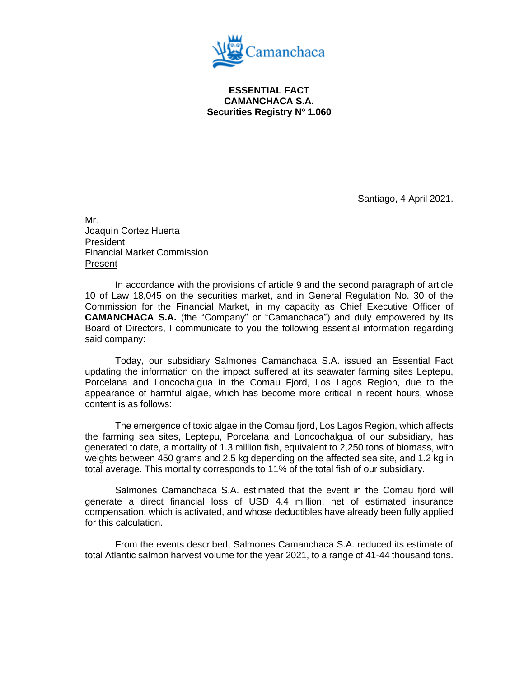

**ESSENTIAL FACT CAMANCHACA S.A. Securities Registry Nº 1.060**

Santiago, 4 April 2021.

Mr. Joaquín Cortez Huerta President Financial Market Commission Present

In accordance with the provisions of article 9 and the second paragraph of article 10 of Law 18,045 on the securities market, and in General Regulation No. 30 of the Commission for the Financial Market, in my capacity as Chief Executive Officer of **CAMANCHACA S.A.** (the "Company" or "Camanchaca") and duly empowered by its Board of Directors, I communicate to you the following essential information regarding said company:

Today, our subsidiary Salmones Camanchaca S.A. issued an Essential Fact updating the information on the impact suffered at its seawater farming sites Leptepu, Porcelana and Loncochalgua in the Comau Fjord, Los Lagos Region, due to the appearance of harmful algae, which has become more critical in recent hours, whose content is as follows:

The emergence of toxic algae in the Comau fjord, Los Lagos Region, which affects the farming sea sites, Leptepu, Porcelana and Loncochalgua of our subsidiary, has generated to date, a mortality of 1.3 million fish, equivalent to 2,250 tons of biomass, with weights between 450 grams and 2.5 kg depending on the affected sea site, and 1.2 kg in total average. This mortality corresponds to 11% of the total fish of our subsidiary.

Salmones Camanchaca S.A. estimated that the event in the Comau fjord will generate a direct financial loss of USD 4.4 million, net of estimated insurance compensation, which is activated, and whose deductibles have already been fully applied for this calculation.

From the events described, Salmones Camanchaca S.A. reduced its estimate of total Atlantic salmon harvest volume for the year 2021, to a range of 41-44 thousand tons.